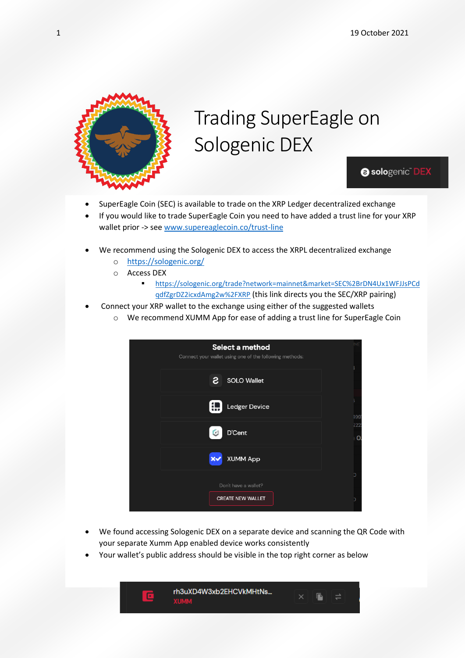

## Trading SuperEagle on Sologenic DEX

**@ sologenic** DEX

- SuperEagle Coin (SEC) is available to trade on the XRP Ledger decentralized exchange
- If you would like to trade SuperEagle Coin you need to have added a trust line for your XRP wallet prior -> see [www.supereaglecoin.co/trust-line](http://www.supereaglecoin.co/trust-line)
- We recommend using the Sologenic DEX to access the XRPL decentralized exchange
	- o <https://sologenic.org/>
	- o Access DEX
		- [https://sologenic.org/trade?network=mainnet&market=SEC%2BrDN4Ux1WFJJsPCd](https://sologenic.org/trade?network=mainnet&market=SEC%2BrDN4Ux1WFJJsPCdqdfZgrDZ2icxdAmg2w%2FXRP) [qdfZgrDZ2icxdAmg2w%2FXRP](https://sologenic.org/trade?network=mainnet&market=SEC%2BrDN4Ux1WFJJsPCdqdfZgrDZ2icxdAmg2w%2FXRP) (this link directs you the SEC/XRP pairing)
- Connect your XRP wallet to the exchange using either of the suggested wallets
	- o We recommend XUMM App for ease of adding a trust line for SuperEagle Coin

| Select a method<br>Connect your wallet using one of the following methods: |          |
|----------------------------------------------------------------------------|----------|
| г<br>SOLO Wallet                                                           |          |
| Ledger Device                                                              | 199      |
| D'Cent<br>m                                                                | 222<br>O |
| <b>XUMM App</b>                                                            |          |
| Don't have a wallet?                                                       | h        |
| <b>CREATE NEW WALLET</b>                                                   |          |

- We found accessing Sologenic DEX on a separate device and scanning the QR Code with your separate Xumm App enabled device works consistently
- Your wallet's public address should be visible in the top right corner as below

rh3uXD4W3xb2EHCVkMHtNs... E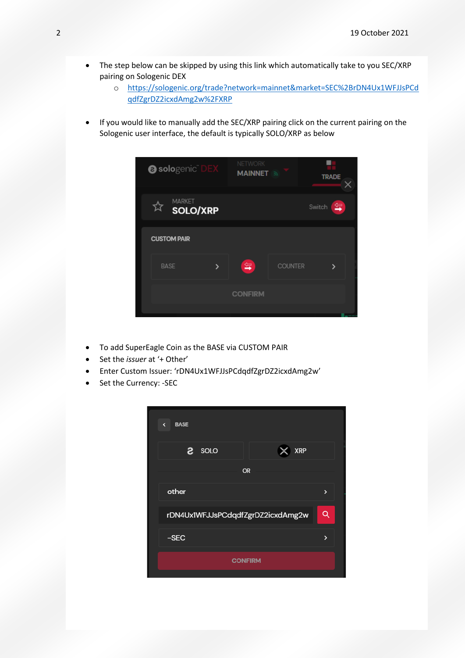- The step below can be skipped by using this link which automatically take to you SEC/XRP pairing on Sologenic DEX
	- o [https://sologenic.org/trade?network=mainnet&market=SEC%2BrDN4Ux1WFJJsPCd](https://sologenic.org/trade?network=mainnet&market=SEC%2BrDN4Ux1WFJJsPCdqdfZgrDZ2icxdAmg2w%2FXRP) [qdfZgrDZ2icxdAmg2w%2FXRP](https://sologenic.org/trade?network=mainnet&market=SEC%2BrDN4Ux1WFJJsPCdqdfZgrDZ2icxdAmg2w%2FXRP)
- If you would like to manually add the SEC/XRP pairing click on the current pairing on the Sologenic user interface, the default is typically SOLO/XRP as below

| <b>@ sologenic DEX</b>         | <b>NETWORK</b><br><b>MAINNET</b> |                | <b>TRADE</b><br>× |
|--------------------------------|----------------------------------|----------------|-------------------|
| <b>MARKET</b><br>☆<br>SOLO/XRP |                                  |                | 雪<br>Switch       |
| <b>CUSTOM PAIR</b>             |                                  |                |                   |
| <b>BASE</b>                    | $\leftarrow$                     | <b>COUNTER</b> |                   |
|                                | <b>CONFIRM</b>                   |                |                   |
|                                |                                  |                |                   |

- To add SuperEagle Coin as the BASE via CUSTOM PAIR
- Set the *issuer* at '+ Other'
- Enter Custom Issuer: 'rDN4Ux1WFJJsPCdqdfZgrDZ2icxdAmg2w'
- Set the Currency: SEC

| $\leftarrow$ BASE                 |                   |  |  |
|-----------------------------------|-------------------|--|--|
| S soro<br>$\times$ XRP            |                   |  |  |
| <b>OR</b>                         |                   |  |  |
| other                             | $\mathbf{\Sigma}$ |  |  |
| rDN4Ux1WFJJsPCdqdfZgrDZ2icxdAmg2w | Q                 |  |  |
| $-SEC$                            | 5                 |  |  |
| <b>CONFIRM</b>                    |                   |  |  |